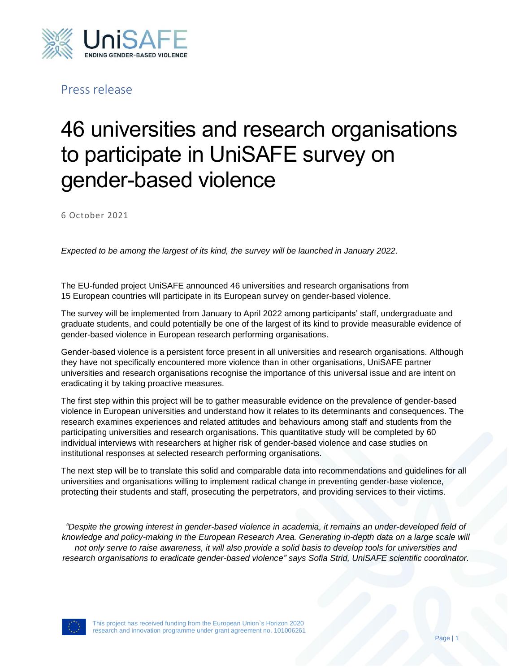

Press release

## 46 universities and research organisations to participate in UniSAFE survey on gender-based violence

6 October 2021

*Expected to be among the largest of its kind, the survey will be launched in January 2022.*

The EU-funded project UniSAFE announced 46 universities and research organisations from 15 European countries will participate in its European survey on gender-based violence.

The survey will be implemented from January to April 2022 among participants' staff, undergraduate and graduate students, and could potentially be one of the largest of its kind to provide measurable evidence of gender-based violence in European research performing organisations.

Gender-based violence is a persistent force present in all universities and research organisations. Although they have not specifically encountered more violence than in other organisations, UniSAFE partner universities and research organisations recognise the importance of this universal issue and are intent on eradicating it by taking proactive measures.

The first step within this project will be to gather measurable evidence on the prevalence of gender-based violence in European universities and understand how it relates to its determinants and consequences. The research examines experiences and related attitudes and behaviours among staff and students from the participating universities and research organisations. This quantitative study will be completed by 60 individual interviews with researchers at higher risk of gender-based violence and case studies on institutional responses at selected research performing organisations.

The next step will be to translate this solid and comparable data into recommendations and guidelines for all universities and organisations willing to implement radical change in preventing gender-base violence, protecting their students and staff, prosecuting the perpetrators, and providing services to their victims.

*"Despite the growing interest in gender-based violence in academia, it remains an under-developed field of knowledge and policy-making in the European Research Area. Generating in-depth data on a large scale will not only serve to raise awareness, it will also provide a solid basis to develop tools for universities and research organisations to eradicate gender-based violence" says Sofia Strid, UniSAFE scientific coordinator.*



This project has received funding from the European Union`s Horizon 2020 research and innovation programme under grant agreement no. 101006261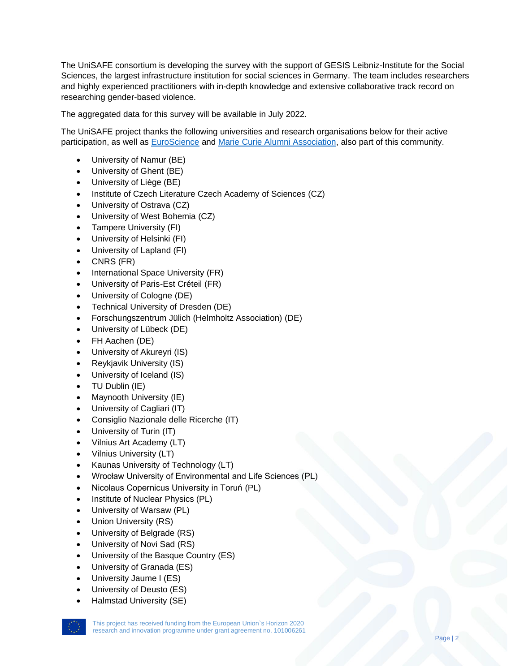The UniSAFE consortium is developing the survey with the support of GESIS Leibniz-Institute for the Social Sciences, the largest infrastructure institution for social sciences in Germany. The team includes researchers and highly experienced practitioners with in-depth knowledge and extensive collaborative track record on researching gender-based violence.

The aggregated data for this survey will be available in July 2022.

The UniSAFE project thanks the following universities and research organisations below for their active participation, as well as **EuroScience and Marie Curie Alumni Association**, also part of this community.

- University of Namur (BE)
- University of Ghent (BE)
- University of Liège (BE)
- Institute of Czech Literature Czech Academy of Sciences (CZ)
- University of Ostrava (CZ)
- University of West Bohemia (CZ)
- Tampere University (FI)
- University of Helsinki (FI)
- University of Lapland (FI)
- CNRS (FR)
- International Space University (FR)
- University of Paris-Est Créteil (FR)
- University of Cologne (DE)
- Technical University of Dresden (DE)
- Forschungszentrum Jülich (Helmholtz Association) (DE)
- University of Lübeck (DE)
- FH Aachen (DE)
- University of Akureyri (IS)
- Reykjavik University (IS)
- University of Iceland (IS)
- TU Dublin (IE)
- Maynooth University (IE)
- University of Cagliari (IT)
- Consiglio Nazionale delle Ricerche (IT)
- University of Turin (IT)
- Vilnius Art Academy (LT)
- Vilnius University (LT)
- Kaunas University of Technology (LT)
- Wrocław University of Environmental and Life Sciences (PL)
- Nicolaus Copernicus University in Toruń (PL)
- Institute of Nuclear Physics (PL)
- University of Warsaw (PL)
- Union University (RS)
- University of Belgrade (RS)
- University of Novi Sad (RS)
- University of the Basque Country (ES)
- University of Granada (ES)
- University Jaume I (ES)
- University of Deusto (ES)
- Halmstad University (SE)



This project has received funding from the European Union`s Horizon 2020 research and innovation programme under grant agreement no. 101006261